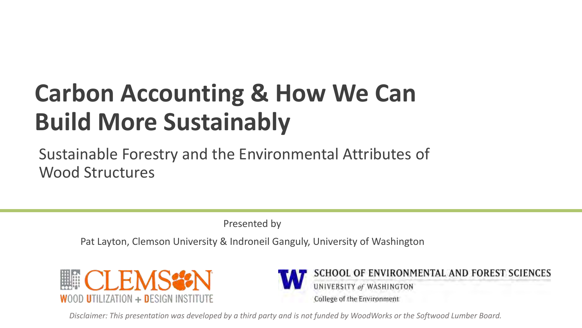## **Carbon Accounting & How We Can Build More Sustainably**

Sustainable Forestry and the Environmental Attributes of Wood Structures

Presented by

Pat Layton, Clemson University & Indroneil Ganguly, University of Washington





*Disclaimer: This presentation was developed by a third party and is not funded by WoodWorks or the Softwood Lumber Board.*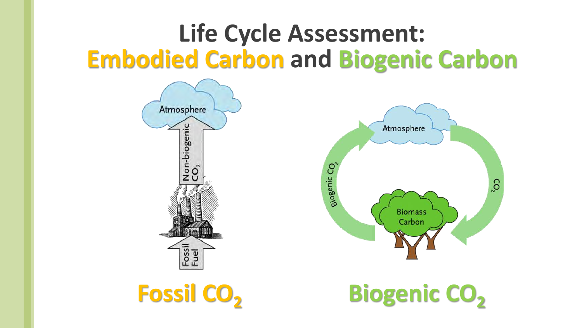## **Life Cycle Assessment: Embodied Carbon and Biogenic Carbon**



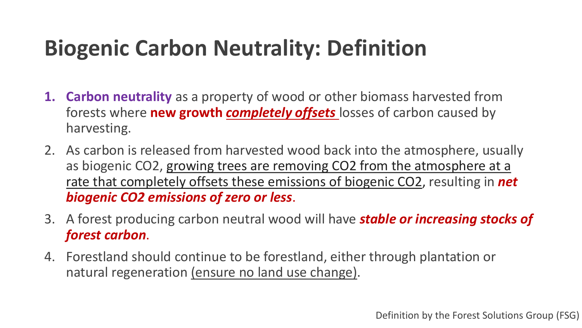## **Biogenic Carbon Neutrality: Definition**

- **1. Carbon neutrality** as a property of wood or other biomass harvested from forests where **new growth** *completely offsets* losses of carbon caused by harvesting.
- 2. As carbon is released from harvested wood back into the atmosphere, usually as biogenic CO2, growing trees are removing CO2 from the atmosphere at a rate that completely offsets these emissions of biogenic CO2, resulting in *net biogenic CO2 emissions of zero or less*.
- 3. A forest producing carbon neutral wood will have *stable or increasing stocks of forest carbon*.
- 4. Forestland should continue to be forestland, either through plantation or natural regeneration (ensure no land use change).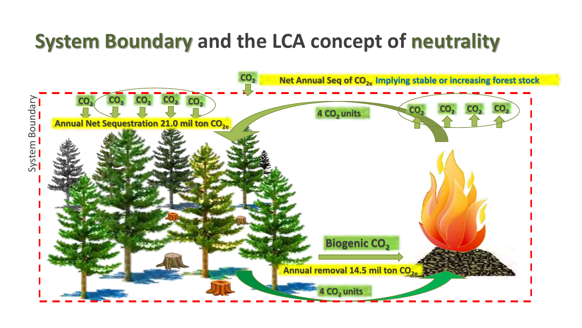### **System Boundary and the LCA concept of neutrality**

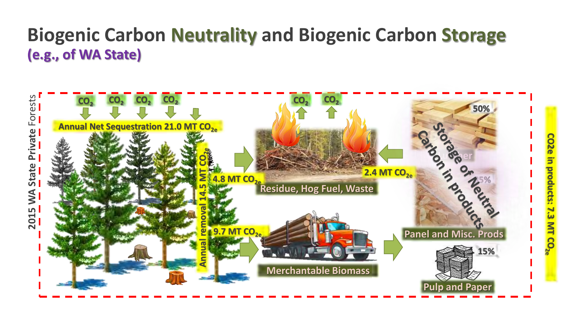#### **Biogenic Carbon Neutrality and Biogenic Carbon Storage (e.g., of WA State)**

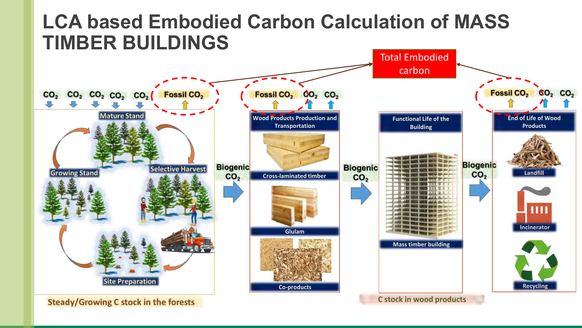#### **LCA based Embodied Carbon Calculation of MASS TIMBER BUILDINGS**

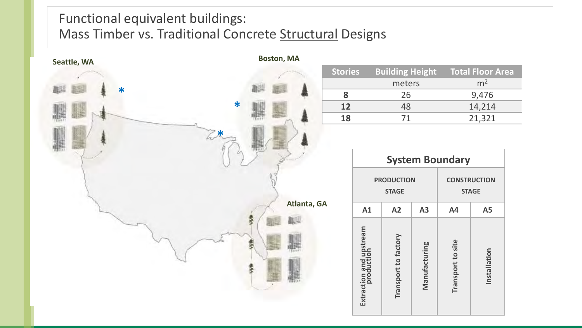#### Functional equivalent buildings: Mass Timber vs. Traditional Concrete Structural Designs



| <b>Stories</b> | <b>Building Height</b> | <b>Total Floor Area</b> |
|----------------|------------------------|-------------------------|
|                | meters                 | m <sup>2</sup>          |
|                | 26                     | 9,476                   |
| 12             | 48                     | 14,214                  |
| 18             | 71                     | 21,321                  |

| <b>System Boundary</b>            |                      |               |                                     |              |  |
|-----------------------------------|----------------------|---------------|-------------------------------------|--------------|--|
| <b>PRODUCTION</b><br><b>STAGE</b> |                      |               | <b>CONSTRUCTION</b><br><b>STAGE</b> |              |  |
| A1                                | A2                   | A3            | <b>A4</b>                           | <b>A5</b>    |  |
| Extraction and upstream           | Transport to factory | Manufacturing | Transport to site                   | Installation |  |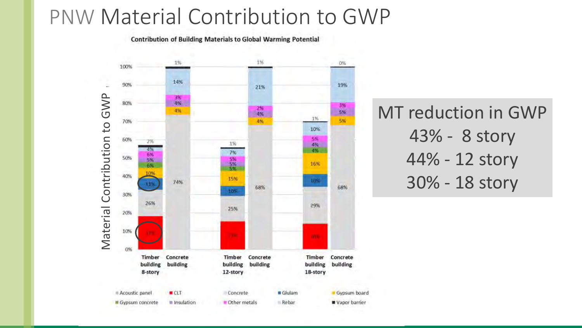#### PNW Material Contribution to GWP

**Contribution of Building Materials to Global Warming Potential** 



MT reduction in GWP 43% - 8 story 44% - 12 story 30% - 18 story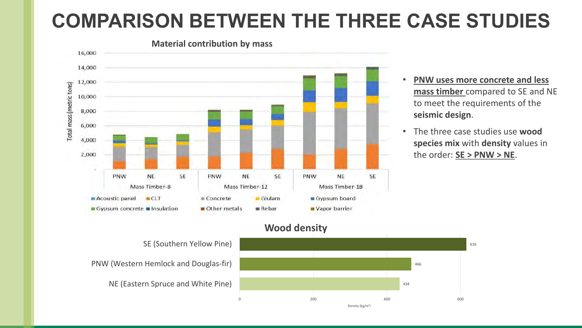### **COMPARISON BETWEEN THE THREE CASE STUDIES**



- **PNW uses more concrete and less mass timber** compared to SE and NE to meet the requirements of the **seismic design**.
- The three case studies use **wood species mix** with **density** values in the order: **SE > PNW > NE**.

**Wood density**

NE (Eastern Spruce and White Pine) PNW (Western Hemlock and Douglas-fir) SE (Southern Yellow Pine)

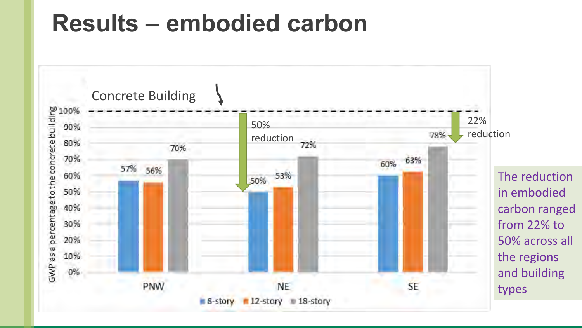## **Results – embodied carbon**

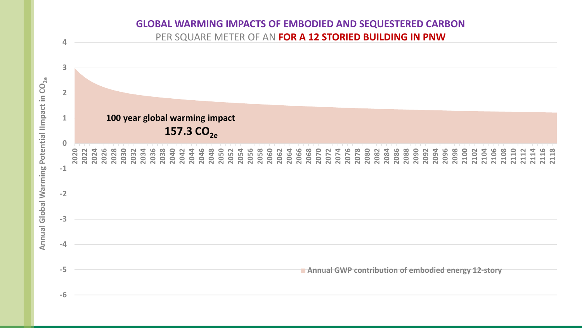

**GLOBAL WARMING IMPACTS OF EMBODIED AND SEQUESTERED CARBON**

Annual Global Warming Potential IImpact in CO $_{2\mathrm{e}}$ **Annual Global Warming Potential IImpact in CO2e**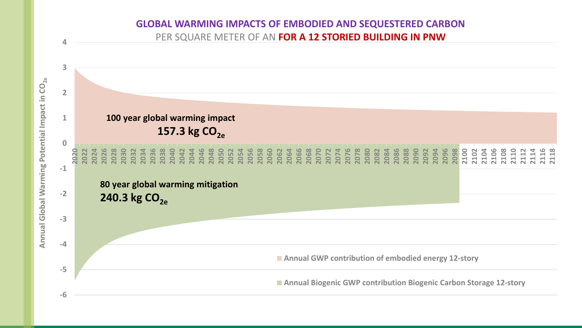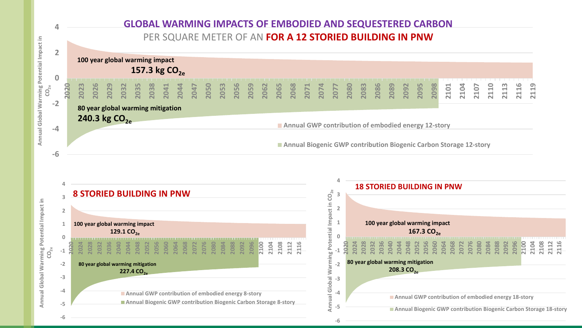



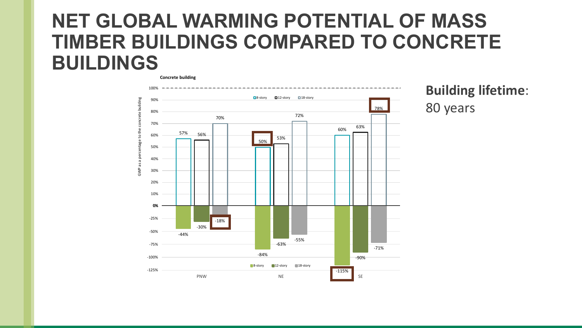#### **NET GLOBAL WARMING POTENTIAL OF MASS TIMBER BUILDINGS COMPARED TO CONCRETE BUILDINGS**



**Building lifetime**: 80 years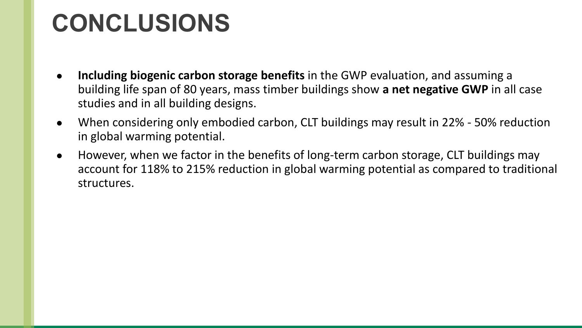## **CONCLUSIONS**

- **Including biogenic carbon storage benefits** in the GWP evaluation, and assuming a building life span of 80 years, mass timber buildings show **a net negative GWP** in all case studies and in all building designs.
- When considering only embodied carbon, CLT buildings may result in 22% 50% reduction in global warming potential.
- However, when we factor in the benefits of long-term carbon storage, CLT buildings may account for 118% to 215% reduction in global warming potential as compared to traditional structures.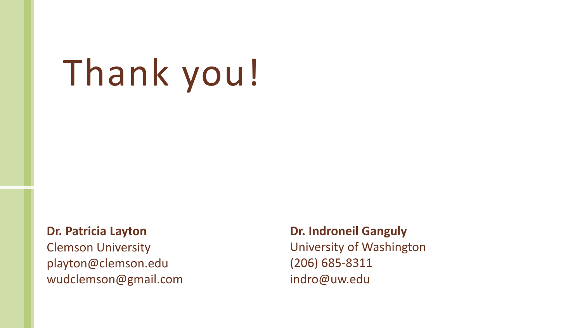# Thank you!

**Dr. Patricia Layton** Clemson University playton@clemson.edu

wudclemson@gmail.com

**Dr. Indroneil Ganguly** University of Washington (206) 685-8311 indro@uw.edu